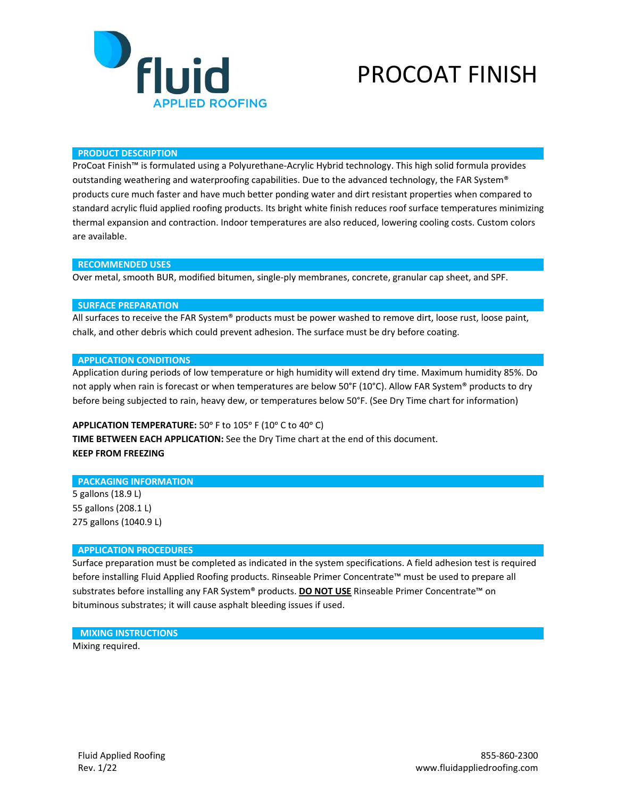

# PROCOAT FINISH

### **PRODUCT DESCRIPTION**

ProCoat Finish™ is formulated using a Polyurethane-Acrylic Hybrid technology. This high solid formula provides outstanding weathering and waterproofing capabilities. Due to the advanced technology, the FAR System® products cure much faster and have much better ponding water and dirt resistant properties when compared to standard acrylic fluid applied roofing products. Its bright white finish reduces roof surface temperatures minimizing thermal expansion and contraction. Indoor temperatures are also reduced, lowering cooling costs. Custom colors are available.

#### **RECOMMENDED USES**

Over metal, smooth BUR, modified bitumen, single-ply membranes, concrete, granular cap sheet, and SPF.

#### **SURFACE PREPARATION**

All surfaces to receive the FAR System® products must be power washed to remove dirt, loose rust, loose paint, chalk, and other debris which could prevent adhesion. The surface must be dry before coating.

### **APPLICATION CONDITIONS**

Application during periods of low temperature or high humidity will extend dry time. Maximum humidity 85%. Do not apply when rain is forecast or when temperatures are below 50°F (10°C). Allow FAR System® products to dry before being subjected to rain, heavy dew, or temperatures below 50°F. (See Dry Time chart for information)

## APPLICATION TEMPERATURE: 50° F to 105° F (10° C to 40° C)

**TIME BETWEEN EACH APPLICATION:** See the Dry Time chart at the end of this document. **KEEP FROM FREEZING**

#### **PACKAGING INFORMATION**

5 gallons (18.9 L) 55 gallons (208.1 L) 275 gallons (1040.9 L)

## **APPLICATION PROCEDURES**

Surface preparation must be completed as indicated in the system specifications. A field adhesion test is required before installing Fluid Applied Roofing products. Rinseable Primer Concentrate™ must be used to prepare all substrates before installing any FAR System® products. **DO NOT USE** Rinseable Primer Concentrate™ on bituminous substrates; it will cause asphalt bleeding issues if used.

## **MIXING INSTRUCTIONS** Mixing required.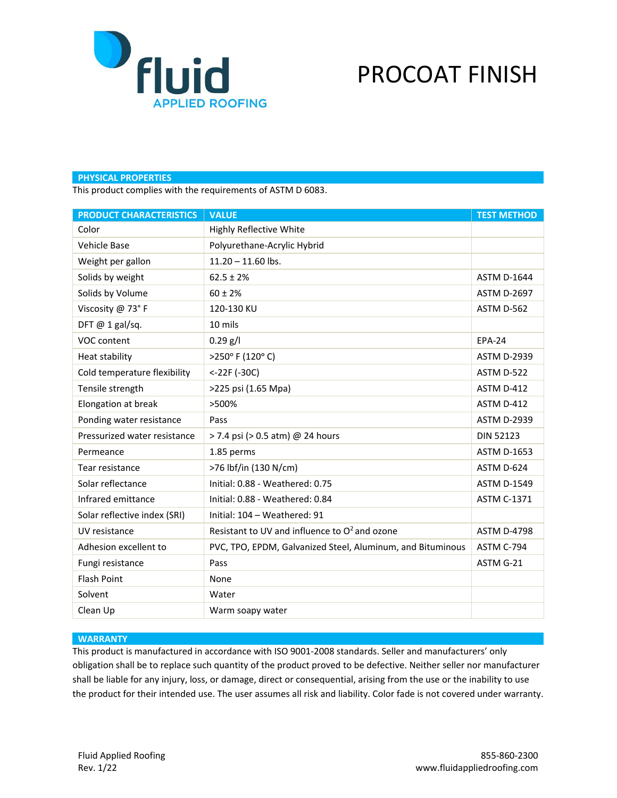

# PROCOAT FINISH

## **PHYSICAL PROPERTIES**

This product complies with the requirements of ASTM D 6083.

| <b>PRODUCT CHARACTERISTICS</b> | <b>VALUE</b>                                               | <b>TEST METHOD</b> |
|--------------------------------|------------------------------------------------------------|--------------------|
| Color                          | <b>Highly Reflective White</b>                             |                    |
| Vehicle Base                   | Polyurethane-Acrylic Hybrid                                |                    |
| Weight per gallon              | $11.20 - 11.60$ lbs.                                       |                    |
| Solids by weight               | $62.5 \pm 2\%$                                             | <b>ASTM D-1644</b> |
| Solids by Volume               | $60 \pm 2%$                                                | <b>ASTM D-2697</b> |
| Viscosity @ 73°F               | 120-130 KU                                                 | ASTM D-562         |
| DFT $@$ 1 gal/sq.              | 10 mils                                                    |                    |
| VOC content                    | $0.29$ g/l                                                 | <b>EPA-24</b>      |
| Heat stability                 | >250° F (120° C)                                           | <b>ASTM D-2939</b> |
| Cold temperature flexibility   | <-22F (-30C)                                               | ASTM D-522         |
| Tensile strength               | >225 psi (1.65 Mpa)                                        | ASTM D-412         |
| Elongation at break            | >500%                                                      | ASTM D-412         |
| Ponding water resistance       | Pass                                                       | <b>ASTM D-2939</b> |
| Pressurized water resistance   | > 7.4 psi (> 0.5 atm) @ 24 hours                           | <b>DIN 52123</b>   |
| Permeance                      | 1.85 perms                                                 | <b>ASTM D-1653</b> |
| Tear resistance                | >76 lbf/in (130 N/cm)                                      | ASTM D-624         |
| Solar reflectance              | Initial: 0.88 - Weathered: 0.75                            | <b>ASTM D-1549</b> |
| Infrared emittance             | Initial: 0.88 - Weathered: 0.84                            | <b>ASTM C-1371</b> |
| Solar reflective index (SRI)   | Initial: 104 - Weathered: 91                               |                    |
| UV resistance                  | Resistant to UV and influence to O <sup>2</sup> and ozone  | <b>ASTM D-4798</b> |
| Adhesion excellent to          | PVC, TPO, EPDM, Galvanized Steel, Aluminum, and Bituminous | ASTM C-794         |
| Fungi resistance               | Pass                                                       | ASTM G-21          |
| <b>Flash Point</b>             | None                                                       |                    |
| Solvent                        | Water                                                      |                    |
| Clean Up                       | Warm soapy water                                           |                    |

## **WARRANTY**

This product is manufactured in accordance with ISO 9001-2008 standards. Seller and manufacturers' only obligation shall be to replace such quantity of the product proved to be defective. Neither seller nor manufacturer shall be liable for any injury, loss, or damage, direct or consequential, arising from the use or the inability to use the product for their intended use. The user assumes all risk and liability. Color fade is not covered under warranty.